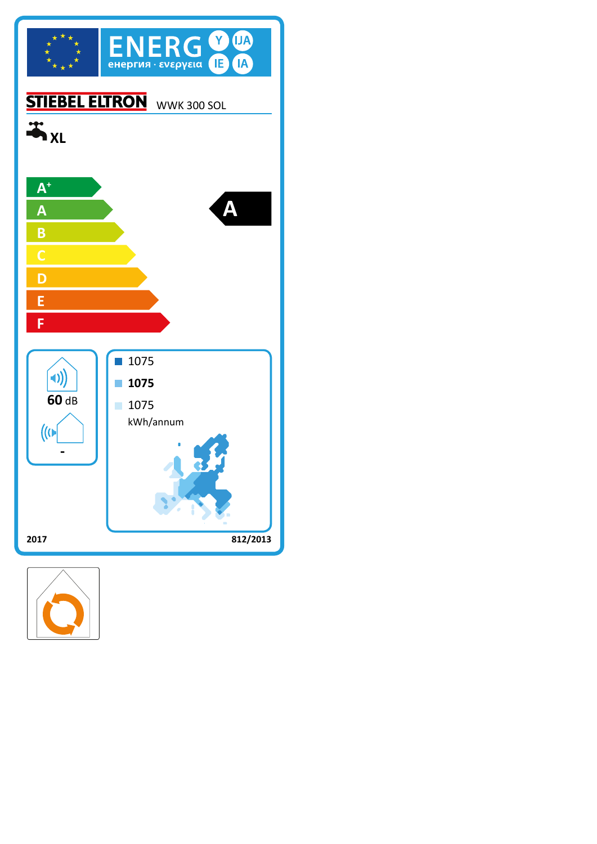